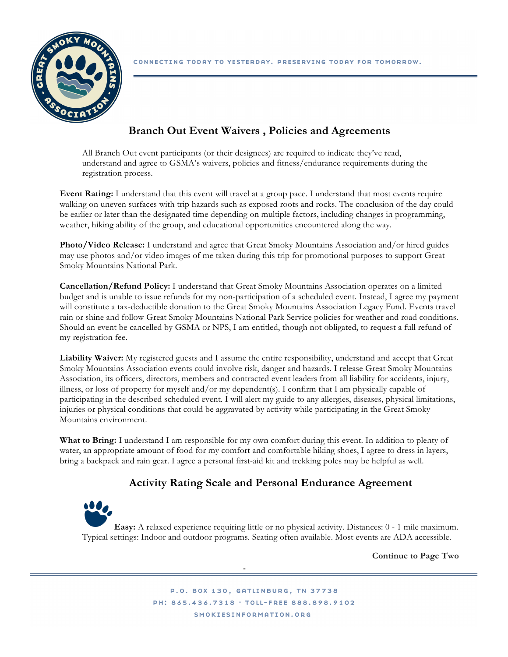

## **Branch Out Event Waivers , Policies and Agreements**

All Branch Out event participants (or their designees) are required to indicate they've read, understand and agree to GSMA's waivers, policies and fitness/endurance requirements during the registration process.

**Event Rating:** I understand that this event will travel at a group pace. I understand that most events require walking on uneven surfaces with trip hazards such as exposed roots and rocks. The conclusion of the day could be earlier or later than the designated time depending on multiple factors, including changes in programming, weather, hiking ability of the group, and educational opportunities encountered along the way.

**Photo/Video Release:** I understand and agree that Great Smoky Mountains Association and/or hired guides may use photos and/or video images of me taken during this trip for promotional purposes to support Great Smoky Mountains National Park.

**Cancellation/Refund Policy:** I understand that Great Smoky Mountains Association operates on a limited budget and is unable to issue refunds for my non-participation of a scheduled event. Instead, I agree my payment will constitute a tax-deductible donation to the Great Smoky Mountains Association Legacy Fund. Events travel rain or shine and follow Great Smoky Mountains National Park Service policies for weather and road conditions. Should an event be cancelled by GSMA or NPS, I am entitled, though not obligated, to request a full refund of my registration fee.

**Liability Waiver:** My registered guests and I assume the entire responsibility, understand and accept that Great Smoky Mountains Association events could involve risk, danger and hazards. I release Great Smoky Mountains Association, its officers, directors, members and contracted event leaders from all liability for accidents, injury, illness, or loss of property for myself and/or my dependent(s). I confirm that I am physically capable of participating in the described scheduled event. I will alert my guide to any allergies, diseases, physical limitations, injuries or physical conditions that could be aggravated by activity while participating in the Great Smoky Mountains environment.

**What to Bring:** I understand I am responsible for my own comfort during this event. In addition to plenty of water, an appropriate amount of food for my comfort and comfortable hiking shoes, I agree to dress in layers, bring a backpack and rain gear. I agree a personal first-aid kit and trekking poles may be helpful as well.

## **Activity Rating Scale and Personal Endurance Agreement**

**Easy:** A relaxed experience requiring little or no physical activity. Distances: 0 - 1 mile maximum. Typical settings: Indoor and outdoor programs. Seating often available. Most events are ADA accessible.

**Continue to Page Two**

P.O. BOX 130, GATLINBURG, TN 37738 PH: 865.436.7318 · TOLL-FREE 888.898.9102 SMOKIESINFORMATION.ORG

-